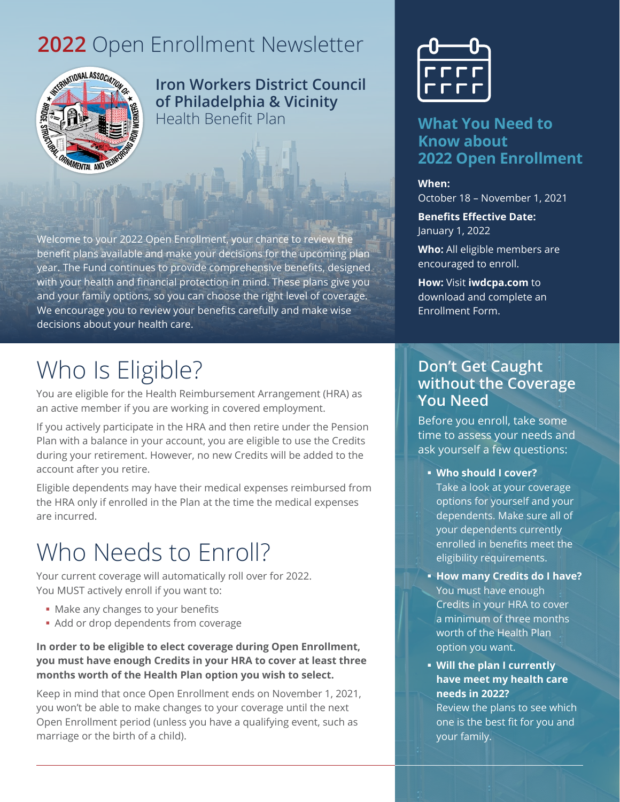### **2022** Open Enrollment Newsletter



**Iron Workers District Council of Philadelphia & Vicinity**  Health Benefit Plan

Welcome to your 2022 Open Enrollment, your chance to review the benefit plans available and make your decisions for the upcoming plan year. The Fund continues to provide comprehensive benefits, designed with your health and financial protection in mind. These plans give you and your family options, so you can choose the right level of coverage. We encourage you to review your benefits carefully and make wise decisions about your health care.

## Who Is Eligible?

You are eligible for the Health Reimbursement Arrangement (HRA) as an active member if you are working in covered employment.

If you actively participate in the HRA and then retire under the Pension Plan with a balance in your account, you are eligible to use the Credits during your retirement. However, no new Credits will be added to the account after you retire.

Eligible dependents may have their medical expenses reimbursed from the HRA only if enrolled in the Plan at the time the medical expenses are incurred.

# Who Needs to Enroll?

Your current coverage will automatically roll over for 2022. You MUST actively enroll if you want to:

- Make any changes to your benefits
- Add or drop dependents from coverage

**In order to be eligible to elect coverage during Open Enrollment, you must have enough Credits in your HRA to cover at least three months worth of the Health Plan option you wish to select.**

Keep in mind that once Open Enrollment ends on November 1, 2021, you won't be able to make changes to your coverage until the next Open Enrollment period (unless you have a qualifying event, such as marriage or the birth of a child).



### **What You Need to Know about 2022 Open Enrollment**

**When:** October 18 – November 1, 2021

**Benefits Effective Date:** January 1, 2022

**Who:** All eligible members are encouraged to enroll.

**How:** Visit **[iwdcpa.com](http://www.iwdcphillyhra.com)** to download and complete an Enrollment Form.

### **Don't Get Caught without the Coverage You Need**

Before you enroll, take some time to assess your needs and ask yourself a few questions:

- **Who should I cover?** Take a look at your coverage options for yourself and your dependents. Make sure all of your dependents currently enrolled in benefits meet the eligibility requirements.
- **How many Credits do I have?** You must have enough Credits in your HRA to cover a minimum of three months worth of the Health Plan option you want.
- **Will the plan I currently have meet my health care needs in 2022?**

Review the plans to see which one is the best fit for you and your family.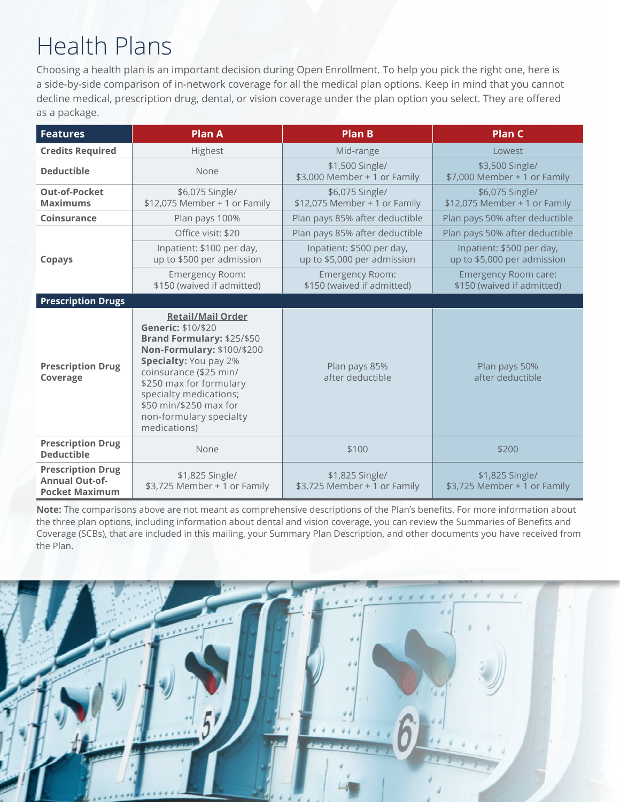# Health Plans

Choosing a health plan is an important decision during Open Enrollment. To help you pick the right one, here is a side-by-side comparison of in-network coverage for all the medical plan options. Keep in mind that you cannot decline medical, prescription drug, dental, or vision coverage under the plan option you select. They are offered as a package.

| <b>Features</b>                                                            | <b>Plan A</b>                                                                                                                                                                                                                                                                           | <b>Plan B</b>                                            | <b>Plan C</b>                                            |  |  |
|----------------------------------------------------------------------------|-----------------------------------------------------------------------------------------------------------------------------------------------------------------------------------------------------------------------------------------------------------------------------------------|----------------------------------------------------------|----------------------------------------------------------|--|--|
| <b>Credits Required</b>                                                    | Highest                                                                                                                                                                                                                                                                                 | Mid-range                                                | Lowest                                                   |  |  |
| <b>Deductible</b>                                                          | None                                                                                                                                                                                                                                                                                    | \$1,500 Single/<br>\$3,000 Member + 1 or Family          | \$3,500 Single/<br>\$7,000 Member + 1 or Family          |  |  |
| <b>Out-of-Pocket</b><br><b>Maximums</b>                                    | \$6,075 Single/<br>\$12,075 Member + 1 or Family                                                                                                                                                                                                                                        | \$6,075 Single/<br>\$12,075 Member + 1 or Family         | \$6,075 Single/<br>\$12,075 Member + 1 or Family         |  |  |
| <b>Coinsurance</b>                                                         | Plan pays 100%                                                                                                                                                                                                                                                                          | Plan pays 85% after deductible                           | Plan pays 50% after deductible                           |  |  |
| <b>Copays</b>                                                              | Office visit: \$20                                                                                                                                                                                                                                                                      | Plan pays 85% after deductible                           | Plan pays 50% after deductible                           |  |  |
|                                                                            | Inpatient: \$100 per day,<br>up to \$500 per admission                                                                                                                                                                                                                                  | Inpatient: \$500 per day,<br>up to \$5,000 per admission | Inpatient: \$500 per day,<br>up to \$5,000 per admission |  |  |
|                                                                            | Emergency Room:<br>\$150 (waived if admitted)                                                                                                                                                                                                                                           | Emergency Room:<br>\$150 (waived if admitted)            | Emergency Room care:<br>\$150 (waived if admitted)       |  |  |
| <b>Prescription Drugs</b>                                                  |                                                                                                                                                                                                                                                                                         |                                                          |                                                          |  |  |
| <b>Prescription Drug</b><br>Coverage                                       | <b>Retail/Mail Order</b><br>Generic: \$10/\$20<br>Brand Formulary: \$25/\$50<br>Non-Formulary: \$100/\$200<br>Specialty: You pay 2%<br>coinsurance (\$25 min/<br>\$250 max for formulary<br>specialty medications;<br>\$50 min/\$250 max for<br>non-formulary specialty<br>medications) | Plan pays 85%<br>after deductible                        | Plan pays 50%<br>after deductible                        |  |  |
| <b>Prescription Drug</b><br><b>Deductible</b>                              | None                                                                                                                                                                                                                                                                                    | \$100                                                    | \$200                                                    |  |  |
| <b>Prescription Drug</b><br><b>Annual Out-of-</b><br><b>Pocket Maximum</b> | \$1,825 Single/<br>\$3,725 Member + 1 or Family                                                                                                                                                                                                                                         | \$1,825 Single/<br>\$3,725 Member + 1 or Family          | \$1,825 Single/<br>\$3,725 Member + 1 or Family          |  |  |

**Note:** The comparisons above are not meant as comprehensive descriptions of the Plan's benefits. For more information about the three plan options, including information about dental and vision coverage, you can review the Summaries of Benefits and Coverage (SCBs), that are included in this mailing, your Summary Plan Description, and other documents you have received from the Plan.

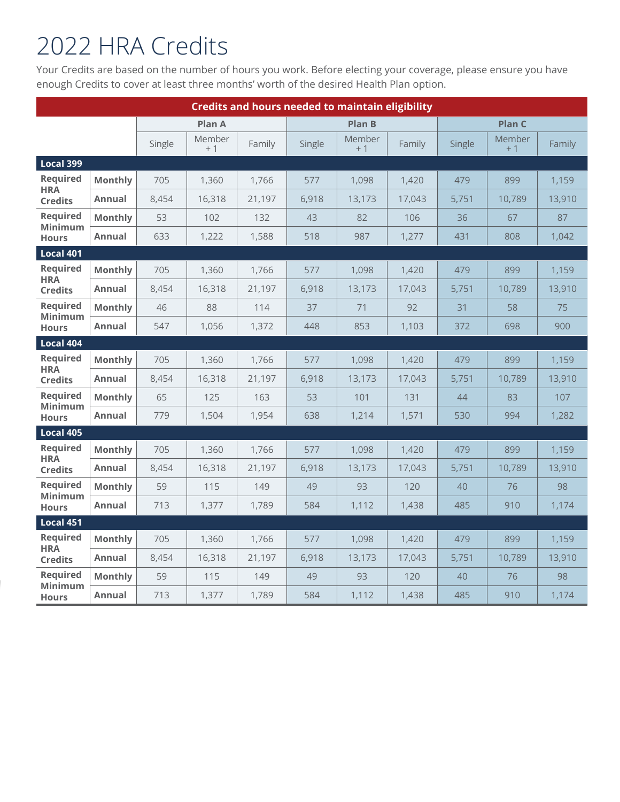# 2022 HRA Credits

Your Credits are based on the number of hours you work. Before electing your coverage, please ensure you have enough Credits to cover at least three months' worth of the desired Health Plan option.

| <b>Credits and hours needed to maintain eligibility</b> |                |        |                |        |               |                       |        |               |                |        |
|---------------------------------------------------------|----------------|--------|----------------|--------|---------------|-----------------------|--------|---------------|----------------|--------|
|                                                         |                |        | <b>Plan A</b>  |        | <b>Plan B</b> |                       |        | <b>Plan C</b> |                |        |
|                                                         |                | Single | Member<br>$+1$ | Family | Single        | <b>Member</b><br>$+1$ | Family | Single        | Member<br>$+1$ | Family |
| Local 399                                               |                |        |                |        |               |                       |        |               |                |        |
| <b>Required</b><br><b>HRA</b><br><b>Credits</b>         | Monthly        | 705    | 1,360          | 1,766  | 577           | 1.098                 | 1,420  | 479           | 899            | 1,159  |
|                                                         | Annual         | 8,454  | 16,318         | 21,197 | 6,918         | 13,173                | 17,043 | 5,751         | 10,789         | 13,910 |
| <b>Required</b><br><b>Minimum</b><br><b>Hours</b>       | <b>Monthly</b> | 53     | 102            | 132    | 43            | 82                    | 106    | 36            | 67             | 87     |
|                                                         | Annual         | 633    | 1,222          | 1,588  | 518           | 987                   | 1,277  | 431           | 808            | 1,042  |
| Local 401                                               |                |        |                |        |               |                       |        |               |                |        |
| <b>Required</b>                                         | <b>Monthly</b> | 705    | 1,360          | 1,766  | 577           | 1,098                 | 1,420  | 479           | 899            | 1,159  |
| <b>HRA</b><br><b>Credits</b>                            | Annual         | 8,454  | 16,318         | 21,197 | 6,918         | 13,173                | 17,043 | 5,751         | 10,789         | 13,910 |
| Required<br>Minimum<br><b>Hours</b>                     | <b>Monthly</b> | 46     | 88             | 114    | 37            | 71                    | 92     | 31            | 58             | 75     |
|                                                         | Annual         | 547    | 1,056          | 1,372  | 448           | 853                   | 1,103  | 372           | 698            | 900    |
| Local 404                                               |                |        |                |        |               |                       |        |               |                |        |
| <b>Required</b><br><b>HRA</b>                           | <b>Monthly</b> | 705    | 1,360          | 1,766  | 577           | 1,098                 | 1,420  | 479           | 899            | 1,159  |
| <b>Credits</b>                                          | Annual         | 8,454  | 16,318         | 21,197 | 6,918         | 13,173                | 17,043 | 5,751         | 10,789         | 13,910 |
| <b>Required</b><br><b>Minimum</b>                       | <b>Monthly</b> | 65     | 125            | 163    | 53            | 101                   | 131    | 44            | 83             | 107    |
| <b>Hours</b>                                            | Annual         | 779    | 1,504          | 1,954  | 638           | 1,214                 | 1,571  | 530           | 994            | 1,282  |
| Local 405                                               |                |        |                |        |               |                       |        |               |                |        |
| <b>Required</b><br><b>HRA</b>                           | <b>Monthly</b> | 705    | 1,360          | 1,766  | 577           | 1,098                 | 1,420  | 479           | 899            | 1,159  |
| <b>Credits</b>                                          | <b>Annual</b>  | 8,454  | 16,318         | 21,197 | 6,918         | 13,173                | 17,043 | 5,751         | 10.789         | 13,910 |
| Required<br><b>Minimum</b><br><b>Hours</b>              | <b>Monthly</b> | 59     | 115            | 149    | 49            | 93                    | 120    | 40            | 76             | 98     |
|                                                         | Annual         | 713    | 1,377          | 1,789  | 584           | 1,112                 | 1,438  | 485           | 910            | 1.174  |
| Local 451                                               |                |        |                |        |               |                       |        |               |                |        |
| <b>Required</b><br><b>HRA</b><br><b>Credits</b>         | <b>Monthly</b> | 705    | 1,360          | 1,766  | 577           | 1,098                 | 1,420  | 479           | 899            | 1,159  |
|                                                         | Annual         | 8,454  | 16,318         | 21,197 | 6,918         | 13,173                | 17,043 | 5,751         | 10,789         | 13,910 |
| <b>Required</b>                                         | <b>Monthly</b> | 59     | 115            | 149    | 49            | 93                    | 120    | 40            | 76             | 98     |
| <b>Minimum</b><br><b>Hours</b>                          | Annual         | 713    | 1,377          | 1,789  | 584           | 1,112                 | 1,438  | 485           | 910            | 1,174  |